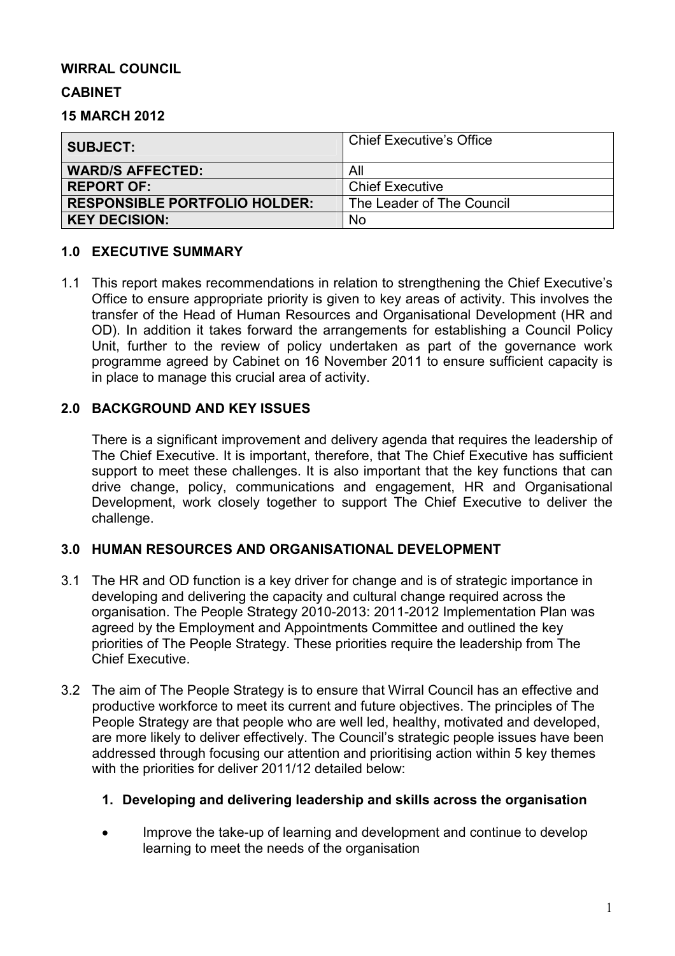## **WIRRAL COUNCIL**

#### **CABINET**

**15 MARCH 2012** 

| <b>SUBJECT:</b>                      | Chief Executive's Office  |
|--------------------------------------|---------------------------|
| <b>WARD/S AFFECTED:</b>              | All                       |
| <b>REPORT OF:</b>                    | <b>Chief Executive</b>    |
| <b>RESPONSIBLE PORTFOLIO HOLDER:</b> | The Leader of The Council |
| <b>KEY DECISION:</b>                 | No                        |

## **1.0 EXECUTIVE SUMMARY**

1.1 This report makes recommendations in relation to strengthening the Chief Executive's Office to ensure appropriate priority is given to key areas of activity. This involves the transfer of the Head of Human Resources and Organisational Development (HR and OD). In addition it takes forward the arrangements for establishing a Council Policy Unit, further to the review of policy undertaken as part of the governance work programme agreed by Cabinet on 16 November 2011 to ensure sufficient capacity is in place to manage this crucial area of activity.

## **2.0 BACKGROUND AND KEY ISSUES**

There is a significant improvement and delivery agenda that requires the leadership of The Chief Executive. It is important, therefore, that The Chief Executive has sufficient support to meet these challenges. It is also important that the key functions that can drive change, policy, communications and engagement, HR and Organisational Development, work closely together to support The Chief Executive to deliver the challenge.

# **3.0 HUMAN RESOURCES AND ORGANISATIONAL DEVELOPMENT**

- 3.1 The HR and OD function is a key driver for change and is of strategic importance in developing and delivering the capacity and cultural change required across the organisation. The People Strategy 2010-2013: 2011-2012 Implementation Plan was agreed by the Employment and Appointments Committee and outlined the key priorities of The People Strategy. These priorities require the leadership from The Chief Executive.
- 3.2 The aim of The People Strategy is to ensure that Wirral Council has an effective and productive workforce to meet its current and future objectives. The principles of The People Strategy are that people who are well led, healthy, motivated and developed, are more likely to deliver effectively. The Council's strategic people issues have been addressed through focusing our attention and prioritising action within 5 key themes with the priorities for deliver 2011/12 detailed below:

#### **1. Developing and delivering leadership and skills across the organisation**

• Improve the take-up of learning and development and continue to develop learning to meet the needs of the organisation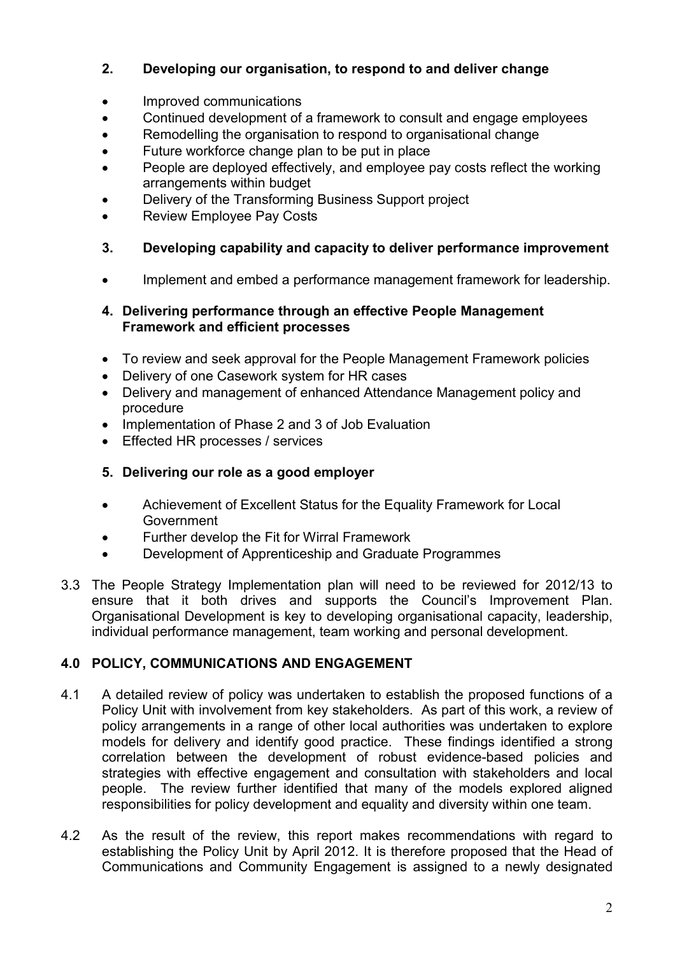# **2. Developing our organisation, to respond to and deliver change**

- Improved communications
- Continued development of a framework to consult and engage employees
- Remodelling the organisation to respond to organisational change
- Future workforce change plan to be put in place
- People are deployed effectively, and employee pay costs reflect the working arrangements within budget
- Delivery of the Transforming Business Support project
- Review Employee Pay Costs
- **3. Developing capability and capacity to deliver performance improvement**
- Implement and embed a performance management framework for leadership.

# **4. Delivering performance through an effective People Management Framework and efficient processes**

- To review and seek approval for the People Management Framework policies
- Delivery of one Casework system for HR cases
- Delivery and management of enhanced Attendance Management policy and procedure
- Implementation of Phase 2 and 3 of Job Evaluation
- Effected HR processes / services

# **5. Delivering our role as a good employer**

- Achievement of Excellent Status for the Equality Framework for Local Government
- Further develop the Fit for Wirral Framework
- Development of Apprenticeship and Graduate Programmes
- 3.3 The People Strategy Implementation plan will need to be reviewed for 2012/13 to ensure that it both drives and supports the Council's Improvement Plan. Organisational Development is key to developing organisational capacity, leadership, individual performance management, team working and personal development.

# **4.0 POLICY, COMMUNICATIONS AND ENGAGEMENT**

- 4.1 A detailed review of policy was undertaken to establish the proposed functions of a Policy Unit with involvement from key stakeholders. As part of this work, a review of policy arrangements in a range of other local authorities was undertaken to explore models for delivery and identify good practice. These findings identified a strong correlation between the development of robust evidence-based policies and strategies with effective engagement and consultation with stakeholders and local people. The review further identified that many of the models explored aligned responsibilities for policy development and equality and diversity within one team.
- 4.2 As the result of the review, this report makes recommendations with regard to establishing the Policy Unit by April 2012. It is therefore proposed that the Head of Communications and Community Engagement is assigned to a newly designated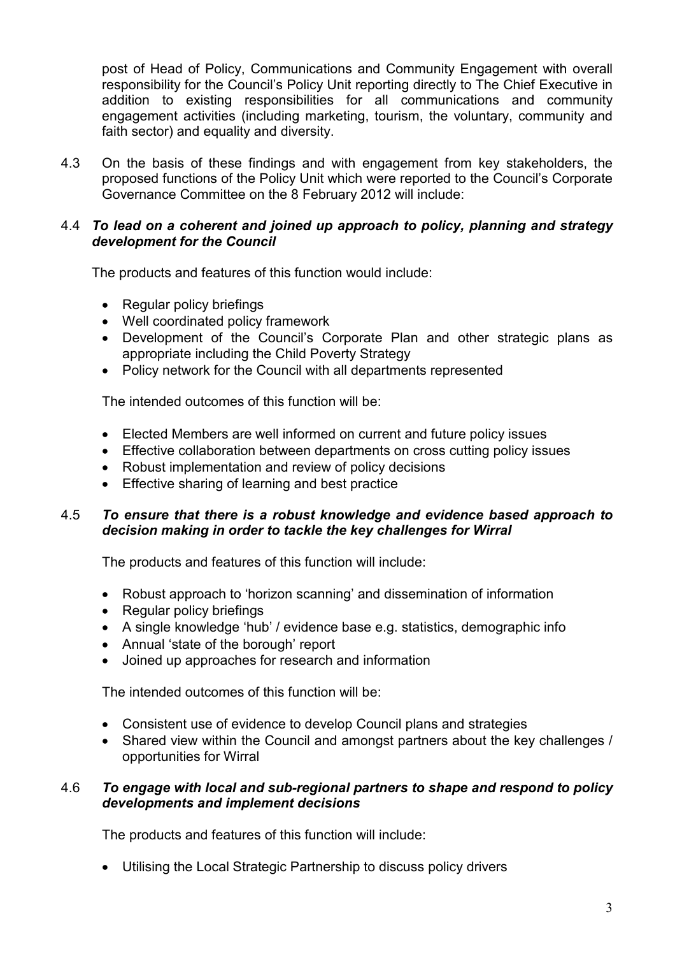post of Head of Policy, Communications and Community Engagement with overall responsibility for the Council's Policy Unit reporting directly to The Chief Executive in addition to existing responsibilities for all communications and community engagement activities (including marketing, tourism, the voluntary, community and faith sector) and equality and diversity.

4.3 On the basis of these findings and with engagement from key stakeholders, the proposed functions of the Policy Unit which were reported to the Council's Corporate Governance Committee on the 8 February 2012 will include:

#### 4.4 *To lead on a coherent and joined up approach to policy, planning and strategy development for the Council*

The products and features of this function would include:

- Regular policy briefings
- Well coordinated policy framework
- Development of the Council's Corporate Plan and other strategic plans as appropriate including the Child Poverty Strategy
- Policy network for the Council with all departments represented

The intended outcomes of this function will be:

- Elected Members are well informed on current and future policy issues
- Effective collaboration between departments on cross cutting policy issues
- Robust implementation and review of policy decisions
- Effective sharing of learning and best practice

## 4.5 *To ensure that there is a robust knowledge and evidence based approach to decision making in order to tackle the key challenges for Wirral*

The products and features of this function will include:

- Robust approach to 'horizon scanning' and dissemination of information
- Regular policy briefings
- A single knowledge 'hub' / evidence base e.g. statistics, demographic info
- Annual 'state of the borough' report
- Joined up approaches for research and information

The intended outcomes of this function will be:

- Consistent use of evidence to develop Council plans and strategies
- Shared view within the Council and amongst partners about the key challenges / opportunities for Wirral

#### 4.6 *To engage with local and sub-regional partners to shape and respond to policy developments and implement decisions*

The products and features of this function will include:

• Utilising the Local Strategic Partnership to discuss policy drivers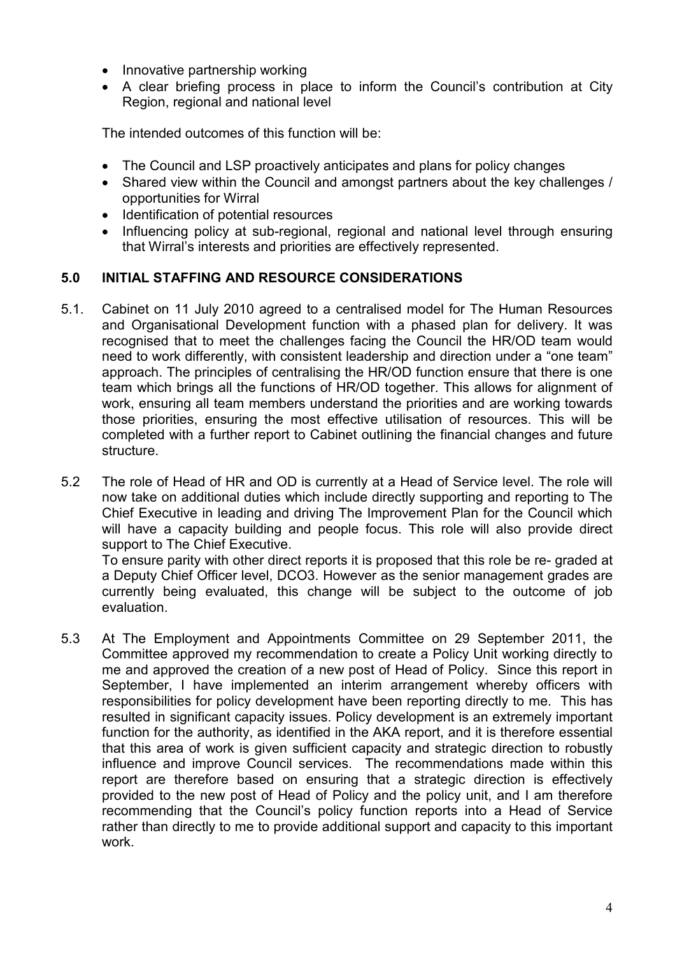- Innovative partnership working
- A clear briefing process in place to inform the Council's contribution at City Region, regional and national level

The intended outcomes of this function will be:

- The Council and LSP proactively anticipates and plans for policy changes
- Shared view within the Council and amongst partners about the key challenges / opportunities for Wirral
- Identification of potential resources
- Influencing policy at sub-regional, regional and national level through ensuring that Wirral's interests and priorities are effectively represented.

## **5.0 INITIAL STAFFING AND RESOURCE CONSIDERATIONS**

- 5.1. Cabinet on 11 July 2010 agreed to a centralised model for The Human Resources and Organisational Development function with a phased plan for delivery. It was recognised that to meet the challenges facing the Council the HR/OD team would need to work differently, with consistent leadership and direction under a "one team" approach. The principles of centralising the HR/OD function ensure that there is one team which brings all the functions of HR/OD together. This allows for alignment of work, ensuring all team members understand the priorities and are working towards those priorities, ensuring the most effective utilisation of resources. This will be completed with a further report to Cabinet outlining the financial changes and future structure.
- 5.2 The role of Head of HR and OD is currently at a Head of Service level. The role will now take on additional duties which include directly supporting and reporting to The Chief Executive in leading and driving The Improvement Plan for the Council which will have a capacity building and people focus. This role will also provide direct support to The Chief Executive.

To ensure parity with other direct reports it is proposed that this role be re- graded at a Deputy Chief Officer level, DCO3. However as the senior management grades are currently being evaluated, this change will be subject to the outcome of job evaluation.

5.3 At The Employment and Appointments Committee on 29 September 2011, the Committee approved my recommendation to create a Policy Unit working directly to me and approved the creation of a new post of Head of Policy. Since this report in September, I have implemented an interim arrangement whereby officers with responsibilities for policy development have been reporting directly to me. This has resulted in significant capacity issues. Policy development is an extremely important function for the authority, as identified in the AKA report, and it is therefore essential that this area of work is given sufficient capacity and strategic direction to robustly influence and improve Council services. The recommendations made within this report are therefore based on ensuring that a strategic direction is effectively provided to the new post of Head of Policy and the policy unit, and I am therefore recommending that the Council's policy function reports into a Head of Service rather than directly to me to provide additional support and capacity to this important work.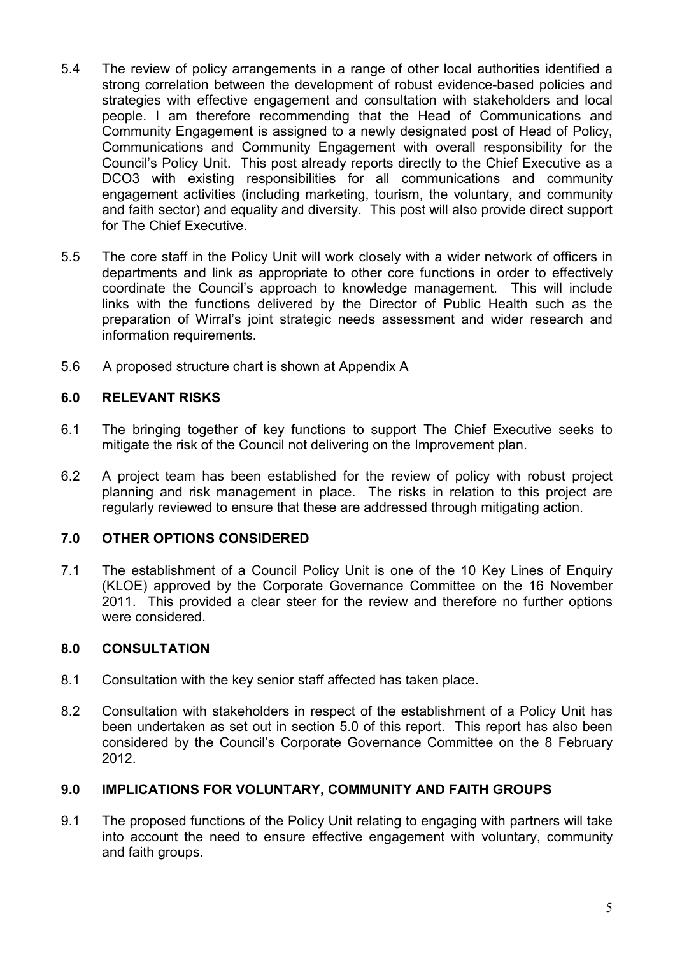- 5.4 The review of policy arrangements in a range of other local authorities identified a strong correlation between the development of robust evidence-based policies and strategies with effective engagement and consultation with stakeholders and local people. I am therefore recommending that the Head of Communications and Community Engagement is assigned to a newly designated post of Head of Policy, Communications and Community Engagement with overall responsibility for the Council's Policy Unit. This post already reports directly to the Chief Executive as a DCO3 with existing responsibilities for all communications and community engagement activities (including marketing, tourism, the voluntary, and community and faith sector) and equality and diversity. This post will also provide direct support for The Chief Executive.
- 5.5 The core staff in the Policy Unit will work closely with a wider network of officers in departments and link as appropriate to other core functions in order to effectively coordinate the Council's approach to knowledge management. This will include links with the functions delivered by the Director of Public Health such as the preparation of Wirral's joint strategic needs assessment and wider research and information requirements.
- 5.6 A proposed structure chart is shown at Appendix A

#### **6.0 RELEVANT RISKS**

- 6.1 The bringing together of key functions to support The Chief Executive seeks to mitigate the risk of the Council not delivering on the Improvement plan.
- 6.2 A project team has been established for the review of policy with robust project planning and risk management in place. The risks in relation to this project are regularly reviewed to ensure that these are addressed through mitigating action.

#### **7.0 OTHER OPTIONS CONSIDERED**

7.1 The establishment of a Council Policy Unit is one of the 10 Key Lines of Enquiry (KLOE) approved by the Corporate Governance Committee on the 16 November 2011. This provided a clear steer for the review and therefore no further options were considered.

#### **8.0 CONSULTATION**

- 8.1 Consultation with the key senior staff affected has taken place.
- 8.2 Consultation with stakeholders in respect of the establishment of a Policy Unit has been undertaken as set out in section 5.0 of this report. This report has also been considered by the Council's Corporate Governance Committee on the 8 February 2012.

#### **9.0 IMPLICATIONS FOR VOLUNTARY, COMMUNITY AND FAITH GROUPS**

9.1 The proposed functions of the Policy Unit relating to engaging with partners will take into account the need to ensure effective engagement with voluntary, community and faith groups.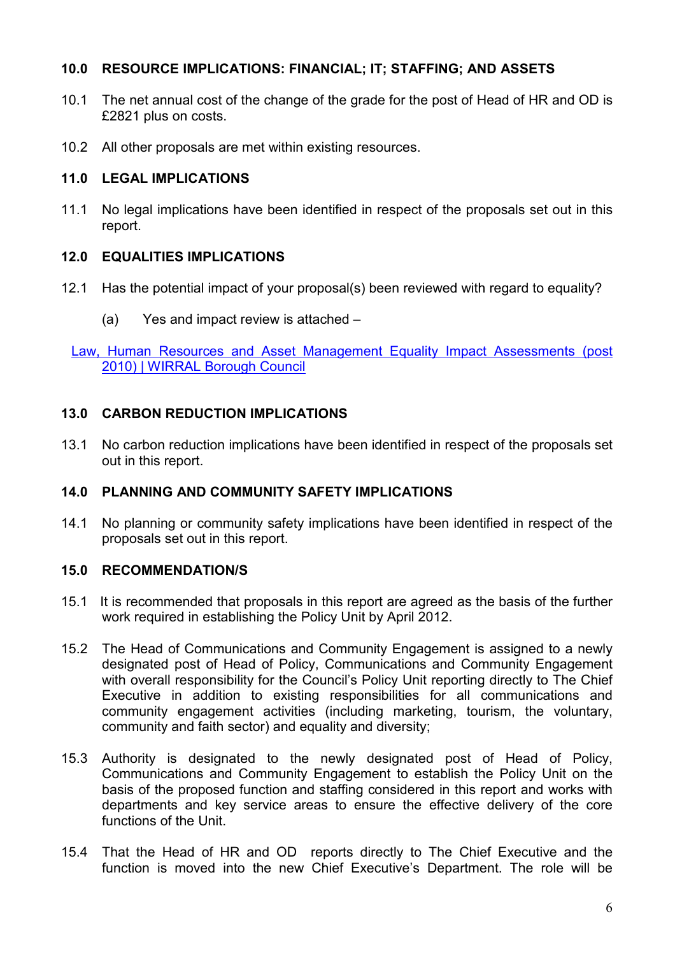# **10.0 RESOURCE IMPLICATIONS: FINANCIAL; IT; STAFFING; AND ASSETS**

- 10.1 The net annual cost of the change of the grade for the post of Head of HR and OD is £2821 plus on costs.
- 10.2 All other proposals are met within existing resources.

#### **11.0 LEGAL IMPLICATIONS**

11.1 No legal implications have been identified in respect of the proposals set out in this report.

## **12.0 EQUALITIES IMPLICATIONS**

- 12.1 Has the potential impact of your proposal(s) been reviewed with regard to equality?
	- (a) Yes and impact review is attached –

Law, Human Resources and Asset Management Equality Impact Assessments (post 2010) | WIRRAL Borough Council

## **13.0 CARBON REDUCTION IMPLICATIONS**

13.1 No carbon reduction implications have been identified in respect of the proposals set out in this report.

#### **14.0 PLANNING AND COMMUNITY SAFETY IMPLICATIONS**

14.1 No planning or community safety implications have been identified in respect of the proposals set out in this report.

# **15.0 RECOMMENDATION/S**

- 15.1 It is recommended that proposals in this report are agreed as the basis of the further work required in establishing the Policy Unit by April 2012.
- 15.2 The Head of Communications and Community Engagement is assigned to a newly designated post of Head of Policy, Communications and Community Engagement with overall responsibility for the Council's Policy Unit reporting directly to The Chief Executive in addition to existing responsibilities for all communications and community engagement activities (including marketing, tourism, the voluntary, community and faith sector) and equality and diversity;
- 15.3 Authority is designated to the newly designated post of Head of Policy, Communications and Community Engagement to establish the Policy Unit on the basis of the proposed function and staffing considered in this report and works with departments and key service areas to ensure the effective delivery of the core functions of the Unit.
- 15.4 That the Head of HR and OD reports directly to The Chief Executive and the function is moved into the new Chief Executive's Department. The role will be